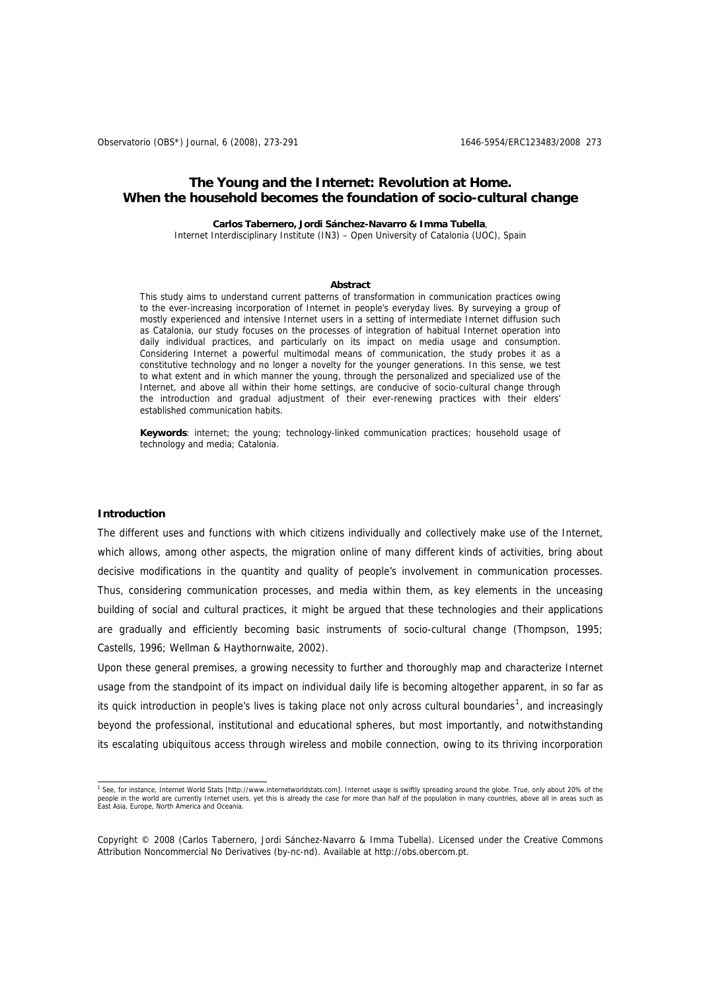Observatorio (OBS\*) Journal, 6 (2008), 273-291 1646-6954/ERC123483/2008 273

# **The Young and the Internet: Revolution at Home. When the household becomes the foundation of socio-cultural change**

## **Carlos Tabernero, Jordi Sánchez-Navarro & Imma Tubella**,

Internet Interdisciplinary Institute (IN3) – Open University of Catalonia (UOC), Spain

#### **Abstract**

This study aims to understand current patterns of transformation in communication practices owing to the ever-increasing incorporation of Internet in people's everyday lives. By surveying a group of mostly experienced and intensive Internet users in a setting of intermediate Internet diffusion such as Catalonia, our study focuses on the processes of integration of habitual Internet operation into daily individual practices, and particularly on its impact on media usage and consumption. Considering Internet a powerful multimodal means of communication, the study probes it as a constitutive technology and no longer a novelty for the younger generations. In this sense, we test to what extent and in which manner the young, through the personalized and specialized use of the Internet, and above all within their home settings, are conducive of socio-cultural change through the introduction and gradual adjustment of their ever-renewing practices with their elders' established communication habits.

**Keywords**: internet; the young; technology-linked communication practices; household usage of technology and media; Catalonia.

#### **Introduction**

The different uses and functions with which citizens individually and collectively make use of the Internet, which allows, among other aspects, the migration online of many different kinds of activities, bring about decisive modifications in the quantity and quality of people's involvement in communication processes. Thus, considering communication processes, and media within them, as key elements in the unceasing building of social and cultural practices, it might be argued that these technologies and their applications are gradually and efficiently becoming basic instruments of socio-cultural change (Thompson, 1995; Castells, 1996; Wellman & Haythornwaite, 2002).

Upon these general premises, a growing necessity to further and thoroughly map and characterize Internet usage from the standpoint of its impact on individual daily life is becoming altogether apparent, in so far as its quick introduction in people's lives is taking place not only across cultural boundaries<sup>[1](#page-0-0)</sup>, and increasingly beyond the professional, institutional and educational spheres, but most importantly, and notwithstanding its escalating ubiquitous access through wireless and mobile connection, owing to its thriving incorporation

<span id="page-0-0"></span> 1 See, for instance, Internet World Stats [http://www.internetworldstats.com]. Internet usage is swiftly spreading around the globe. True, only about 20% of the people in the world are currently Internet users, yet this is already the case for more than half of the population in many countries, above all in areas such as<br>East Asia, Europe, North America and Oceania.

Copyright © 2008 (Carlos Tabernero, Jordi Sánchez-Navarro & Imma Tubella). Licensed under the Creative Commons Attribution Noncommercial No Derivatives (by-nc-nd). Available at http://obs.obercom.pt.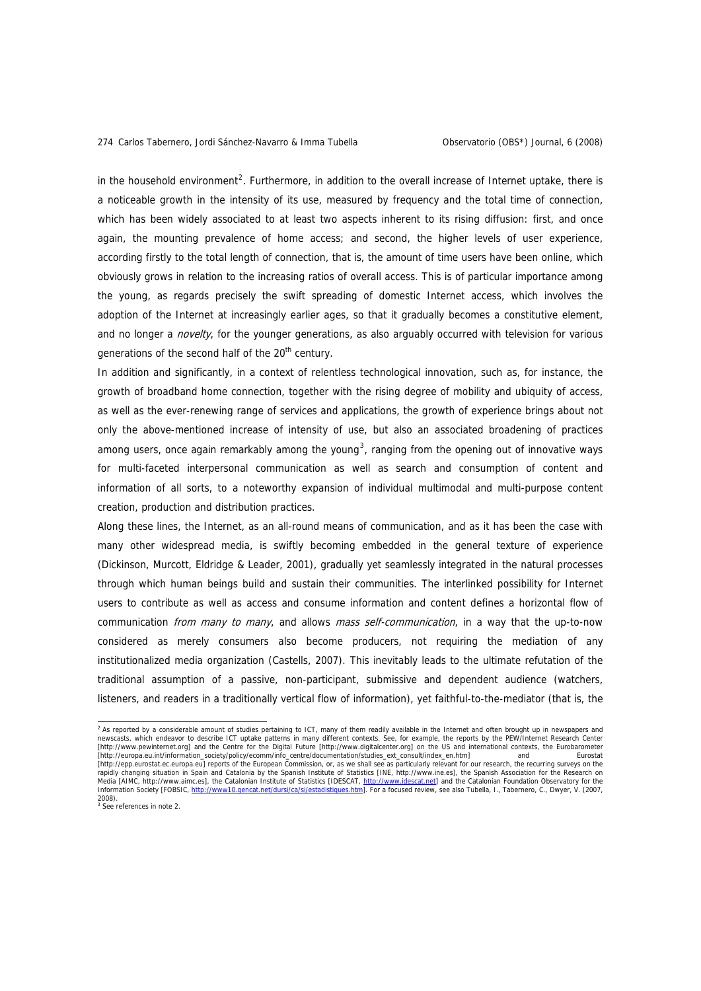in the household environment<sup>[2](#page-1-0)</sup>. Furthermore, in addition to the overall increase of Internet uptake, there is a noticeable growth in the intensity of its use, measured by frequency and the total time of connection, which has been widely associated to at least two aspects inherent to its rising diffusion: first, and once again, the mounting prevalence of home access; and second, the higher levels of user experience, according firstly to the total length of connection, that is, the amount of time users have been online, which obviously grows in relation to the increasing ratios of overall access. This is of particular importance among the young, as regards precisely the swift spreading of domestic Internet access, which involves the adoption of the Internet at increasingly earlier ages, so that it gradually becomes a constitutive element, and no longer a *novelty*, for the younger generations, as also arguably occurred with television for various generations of the second half of the 20<sup>th</sup> century.

In addition and significantly, in a context of relentless technological innovation, such as, for instance, the growth of broadband home connection, together with the rising degree of mobility and ubiquity of access, as well as the ever-renewing range of services and applications, the growth of experience brings about not only the above-mentioned increase of intensity of use, but also an associated broadening of practices among users, once again remarkably among the young<sup>[3](#page-1-1)</sup>, ranging from the opening out of innovative ways for multi-faceted interpersonal communication as well as search and consumption of content and information of all sorts, to a noteworthy expansion of individual multimodal and multi-purpose content creation, production and distribution practices.

Along these lines, the Internet, as an all-round means of communication, and as it has been the case with many other widespread media, is swiftly becoming embedded in the general texture of experience (Dickinson, Murcott, Eldridge & Leader, 2001), gradually yet seamlessly integrated in the natural processes through which human beings build and sustain their communities. The interlinked possibility for Internet users to contribute as well as access and consume information and content defines a horizontal flow of communication from many to many, and allows mass self-communication, in a way that the up-to-now considered as merely consumers also become producers, not requiring the mediation of any institutionalized media organization (Castells, 2007). This inevitably leads to the ultimate refutation of the traditional assumption of a passive, non-participant, submissive and dependent audience (watchers, listeners, and readers in a traditionally vertical flow of information), yet faithful-to-the-mediator (that is, the

<span id="page-1-1"></span>3 See references in note 2.

<span id="page-1-0"></span> 2 As reported by a considerable amount of studies pertaining to ICT, many of them readily available in the Internet and often brought up in newspapers and newscasts, which endeavor to describe ICT uptake patterns in many different contexts. See, for example, the reports by the PEW/Internet Research Center<br>[http://www.pewinternet.org] and the Centre for the Digital Future [ht [http://europa.eu.int/information\_society/policy/ecomm/info\_centre/documentation/studies\_ext\_consult/index\_en.htm] and Eurostat [http://epp.eurostat.ec.europa.eu] reports of the European Commission, or, as we shall see as particularly relevant for our research, the recurring surveys on the<br>rapidly changing situation in Spain and Catalonian by the S Information Society [FOBSIC, <http://www10.gencat.net/dursi/ca/si/estadistiques.htm>]. For a focused review, see also Tubella, I., Tabernero, C., Dwyer, V. (2007, 2008).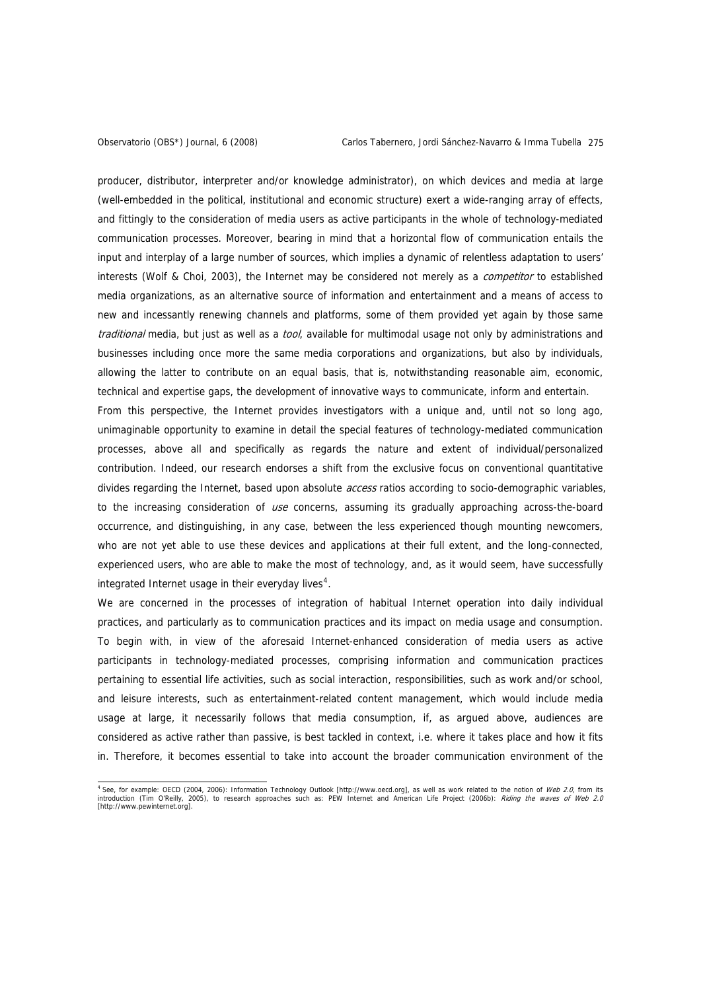producer, distributor, interpreter and/or knowledge administrator), on which devices and media at large (well-embedded in the political, institutional and economic structure) exert a wide-ranging array of effects, and fittingly to the consideration of media users as active participants in the whole of technology-mediated communication processes. Moreover, bearing in mind that a horizontal flow of communication entails the input and interplay of a large number of sources, which implies a dynamic of relentless adaptation to users' interests (Wolf & Choi, 2003), the Internet may be considered not merely as a *competitor* to established media organizations, as an alternative source of information and entertainment and a means of access to new and incessantly renewing channels and platforms, some of them provided yet again by those same traditional media, but just as well as a tool, available for multimodal usage not only by administrations and businesses including once more the same media corporations and organizations, but also by individuals, allowing the latter to contribute on an equal basis, that is, notwithstanding reasonable aim, economic, technical and expertise gaps, the development of innovative ways to communicate, inform and entertain. From this perspective, the Internet provides investigators with a unique and, until not so long ago, unimaginable opportunity to examine in detail the special features of technology-mediated communication processes, above all and specifically as regards the nature and extent of individual/personalized contribution. Indeed, our research endorses a shift from the exclusive focus on conventional quantitative divides regarding the Internet, based upon absolute access ratios according to socio-demographic variables, to the increasing consideration of use concerns, assuming its gradually approaching across-the-board occurrence, and distinguishing, in any case, between the less experienced though mounting newcomers, who are not yet able to use these devices and applications at their full extent, and the long-connected, experienced users, who are able to make the most of technology, and, as it would seem, have successfully integrated Internet usage in their everyday lives<sup>[4](#page-2-0)</sup>.

We are concerned in the processes of integration of habitual Internet operation into daily individual practices, and particularly as to communication practices and its impact on media usage and consumption. To begin with, in view of the aforesaid Internet-enhanced consideration of media users as active participants in technology-mediated processes, comprising information and communication practices pertaining to essential life activities, such as social interaction, responsibilities, such as work and/or school, and leisure interests, such as entertainment-related content management, which would include media usage at large, it necessarily follows that media consumption, if, as argued above, audiences are considered as active rather than passive, is best tackled in context, i.e. where it takes place and how it fits in. Therefore, it becomes essential to take into account the broader communication environment of the

<span id="page-2-0"></span>and the search of the Section (2004, 2006): Information Technology Outlook [http://www.oecd.org], as well as work related to the notion of *Web 2.0*, from its<br>Introduction (Tim O'Reilly, 2005), to research approaches such [http://www.pewinternet.org].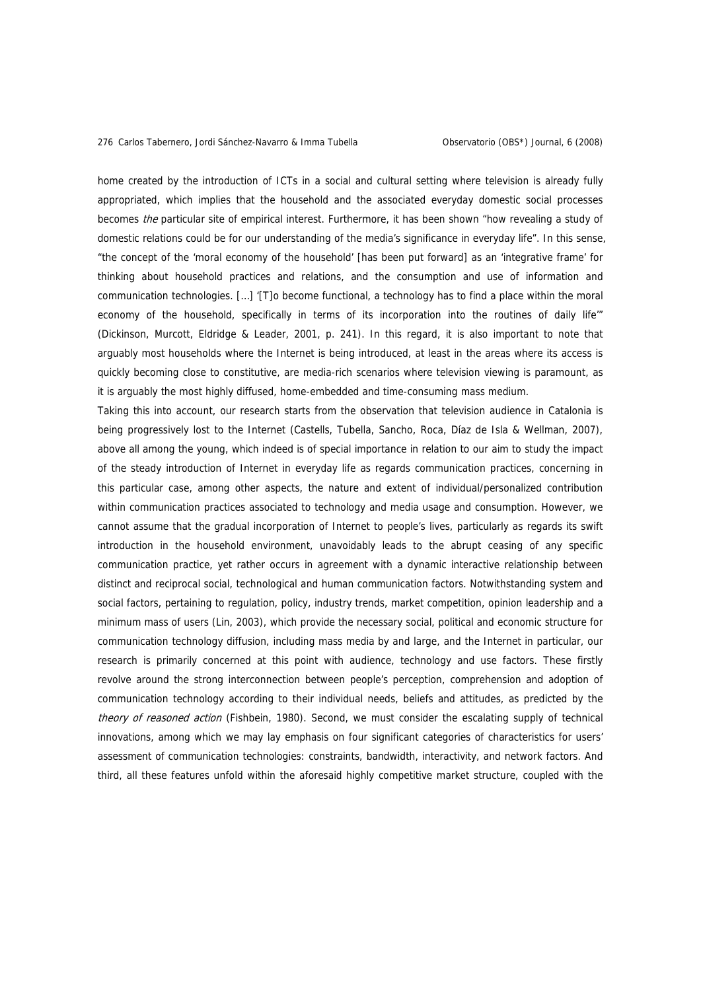home created by the introduction of ICTs in a social and cultural setting where television is already fully appropriated, which implies that the household and the associated everyday domestic social processes becomes *the* particular site of empirical interest. Furthermore, it has been shown "how revealing a study of domestic relations could be for our understanding of the media's significance in everyday life". In this sense, "the concept of the 'moral economy of the household' [has been put forward] as an 'integrative frame' for thinking about household practices and relations, and the consumption and use of information and communication technologies. […] '[T]o become functional, a technology has to find a place within the moral economy of the household, specifically in terms of its incorporation into the routines of daily life<sup>"</sup> (Dickinson, Murcott, Eldridge & Leader, 2001, p. 241). In this regard, it is also important to note that arguably most households where the Internet is being introduced, at least in the areas where its access is quickly becoming close to constitutive, are media-rich scenarios where television viewing is paramount, as it is arguably the most highly diffused, home-embedded and time-consuming mass medium.

Taking this into account, our research starts from the observation that television audience in Catalonia is being progressively lost to the Internet (Castells, Tubella, Sancho, Roca, Díaz de Isla & Wellman, 2007), above all among the young, which indeed is of special importance in relation to our aim to study the impact of the steady introduction of Internet in everyday life as regards communication practices, concerning in this particular case, among other aspects, the nature and extent of individual/personalized contribution within communication practices associated to technology and media usage and consumption. However, we cannot assume that the gradual incorporation of Internet to people's lives, particularly as regards its swift introduction in the household environment, unavoidably leads to the abrupt ceasing of any specific communication practice, yet rather occurs in agreement with a dynamic interactive relationship between distinct and reciprocal social, technological and human communication factors. Notwithstanding system and social factors, pertaining to regulation, policy, industry trends, market competition, opinion leadership and a minimum mass of users (Lin, 2003), which provide the necessary social, political and economic structure for communication technology diffusion, including mass media by and large, and the Internet in particular, our research is primarily concerned at this point with audience, technology and use factors. These firstly revolve around the strong interconnection between people's perception, comprehension and adoption of communication technology according to their individual needs, beliefs and attitudes, as predicted by the theory of reasoned action (Fishbein, 1980). Second, we must consider the escalating supply of technical innovations, among which we may lay emphasis on four significant categories of characteristics for users' assessment of communication technologies: constraints, bandwidth, interactivity, and network factors. And third, all these features unfold within the aforesaid highly competitive market structure, coupled with the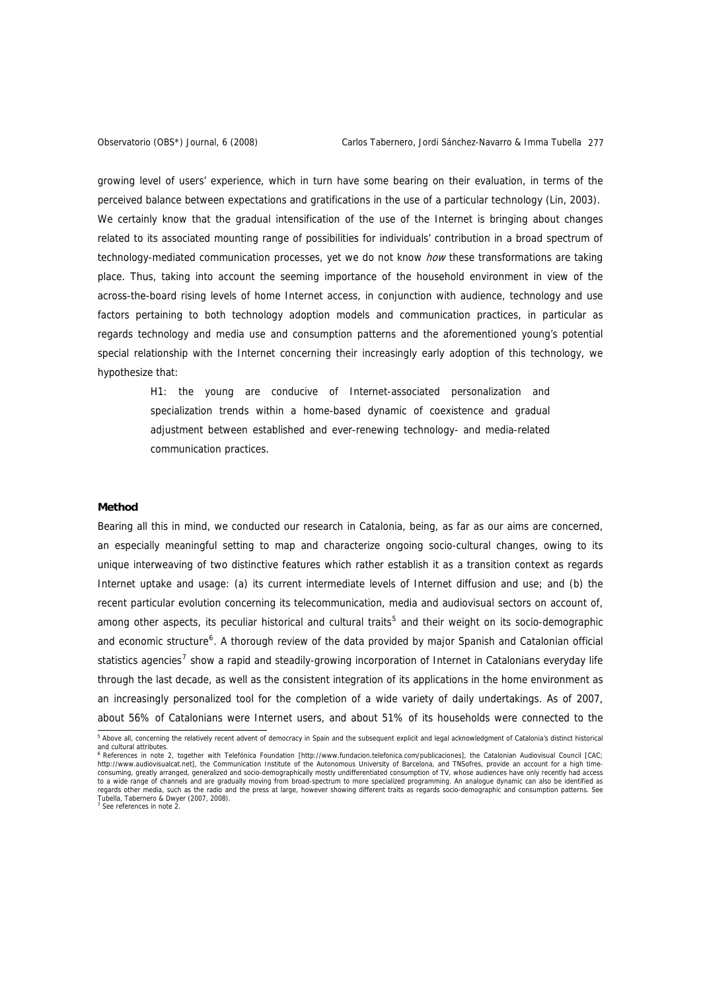growing level of users' experience, which in turn have some bearing on their evaluation, in terms of the perceived balance between expectations and gratifications in the use of a particular technology (Lin, 2003). We certainly know that the gradual intensification of the use of the Internet is bringing about changes related to its associated mounting range of possibilities for individuals' contribution in a broad spectrum of technology-mediated communication processes, yet we do not know how these transformations are taking place. Thus, taking into account the seeming importance of the household environment in view of the across-the-board rising levels of home Internet access, in conjunction with audience, technology and use factors pertaining to both technology adoption models and communication practices, in particular as regards technology and media use and consumption patterns and the aforementioned young's potential special relationship with the Internet concerning their increasingly early adoption of this technology, we hypothesize that:

> H1: the young are conducive of Internet-associated personalization and specialization trends within a home-based dynamic of coexistence and gradual adjustment between established and ever-renewing technology- and media-related communication practices.

## **Method**

Bearing all this in mind, we conducted our research in Catalonia, being, as far as our aims are concerned, an especially meaningful setting to map and characterize ongoing socio-cultural changes, owing to its unique interweaving of two distinctive features which rather establish it as a transition context as regards Internet uptake and usage: (a) its current intermediate levels of Internet diffusion and use; and (b) the recent particular evolution concerning its telecommunication, media and audiovisual sectors on account of, among other aspects, its peculiar historical and cultural traits<sup>[5](#page-4-0)</sup> and their weight on its socio-demographic and economic structure<sup>[6](#page-4-1)</sup>. A thorough review of the data provided by major Spanish and Catalonian official statistics agencies<sup>[7](#page-4-2)</sup> show a rapid and steadily-growing incorporation of Internet in Catalonians everyday life through the last decade, as well as the consistent integration of its applications in the home environment as an increasingly personalized tool for the completion of a wide variety of daily undertakings. As of 2007, about 56% of Catalonians were Internet users, and about 51% of its households were connected to the

<span id="page-4-0"></span> 5 Above all, concerning the relatively recent advent of democracy in Spain and the subsequent explicit and legal acknowledgment of Catalonia's distinct historical and cultural attributes.

<span id="page-4-2"></span><span id="page-4-1"></span><sup>&</sup>lt;sup>6</sup> References in note 2, together with Telefónica Foundation [http://www.fundacion.telefonica.com/publicaciones], the Catalonian Audiovisual Council [CAC; http://www.audiovisualcat.net], the Communication Institute of the Autonomous University of Barcelona, and TNSofres, provide an account for a high timeconsuming, greatly arranged, generalized and socio-demographically mostly undifferentiated consumption of TV, whose audiences have only recently had access to a wide range of channels and are gradually moving from broad-spectrum to more specialized programming. An analogue dynamic can also be identified as regards other media, such as the radio and the press at large, however showing different traits as regards socio-demographic and consumption patterns. See Tubella, Tabernero & Dwyer (2007, 2008). 7 See references in note 2.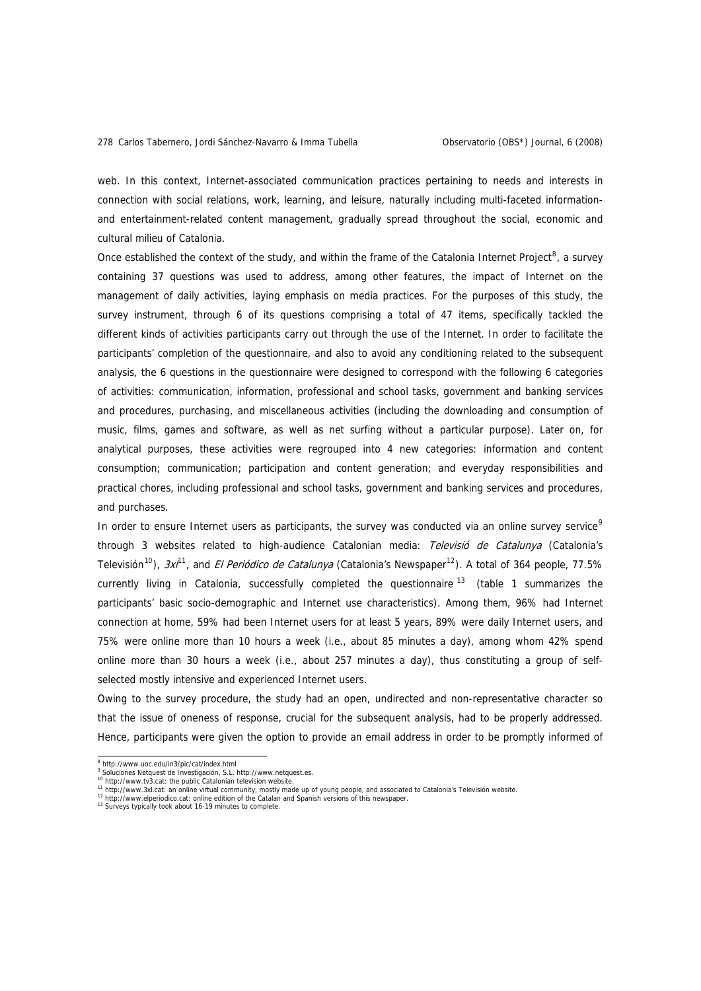web. In this context, Internet-associated communication practices pertaining to needs and interests in connection with social relations, work, learning, and leisure, naturally including multi-faceted informationand entertainment-related content management, gradually spread throughout the social, economic and cultural milieu of Catalonia.

Once established the context of the study, and within the frame of the Catalonia Internet Project<sup>[8](#page-5-0)</sup>, a survey containing 37 questions was used to address, among other features, the impact of Internet on the management of daily activities, laying emphasis on media practices. For the purposes of this study, the survey instrument, through 6 of its questions comprising a total of 47 items, specifically tackled the different kinds of activities participants carry out through the use of the Internet. In order to facilitate the participants' completion of the questionnaire, and also to avoid any conditioning related to the subsequent analysis, the 6 questions in the questionnaire were designed to correspond with the following 6 categories of activities: communication, information, professional and school tasks, government and banking services and procedures, purchasing, and miscellaneous activities (including the downloading and consumption of music, films, games and software, as well as net surfing without a particular purpose). Later on, for analytical purposes, these activities were regrouped into 4 new categories: information and content consumption; communication; participation and content generation; and everyday responsibilities and practical chores, including professional and school tasks, government and banking services and procedures, and purchases.

In order to ensure Internet users as participants, the survey was conducted via an online survey service<sup>[9](#page-5-1)</sup> through 3 websites related to high-audience Catalonian media: Televisió de Catalunya (Catalonia's Televisión<sup>[10](#page-5-2)</sup>),  $3x^{1/1}$ , and *El Periódico de Catalunya* (Catalonia's Newspaper<sup>[12](#page-5-4)</sup>). A total of 364 people, 77.5% currently living in Catalonia, successfully completed the questionnaire  $13$  (table 1 summarizes the participants' basic socio-demographic and Internet use characteristics). Among them, 96% had Internet connection at home, 59% had been Internet users for at least 5 years, 89% were daily Internet users, and 75% were online more than 10 hours a week (i.e., about 85 minutes a day), among whom 42% spend online more than 30 hours a week (i.e., about 257 minutes a day), thus constituting a group of selfselected mostly intensive and experienced Internet users.

Owing to the survey procedure, the study had an open, undirected and non-representative character so that the issue of oneness of response, crucial for the subsequent analysis, had to be properly addressed. Hence, participants were given the option to provide an email address in order to be promptly informed of

<sup>.&</sup>lt;br>8

<span id="page-5-0"></span><sup>&</sup>lt;sup>8</sup> http://www.uoc.edu/in3/pic/cat/index.html<br><sup>9</sup> Soluciones Netquest de Investigación, S.L. http://www.netquest.es.

<sup>10</sup> http://www.tv3.cat: the public Catalonian television website.

<span id="page-5-3"></span><span id="page-5-2"></span><span id="page-5-1"></span><sup>11</sup> http://www.tv.s.t.at. the public Gatabonian television website.<br>
<sup>11</sup> http://www.skl.cat: an online virtual community, mostly made up of young people, and associated to Catalonia's Televisión website.<br>
<sup>12</sup> http://www.e

<span id="page-5-4"></span>

<span id="page-5-5"></span>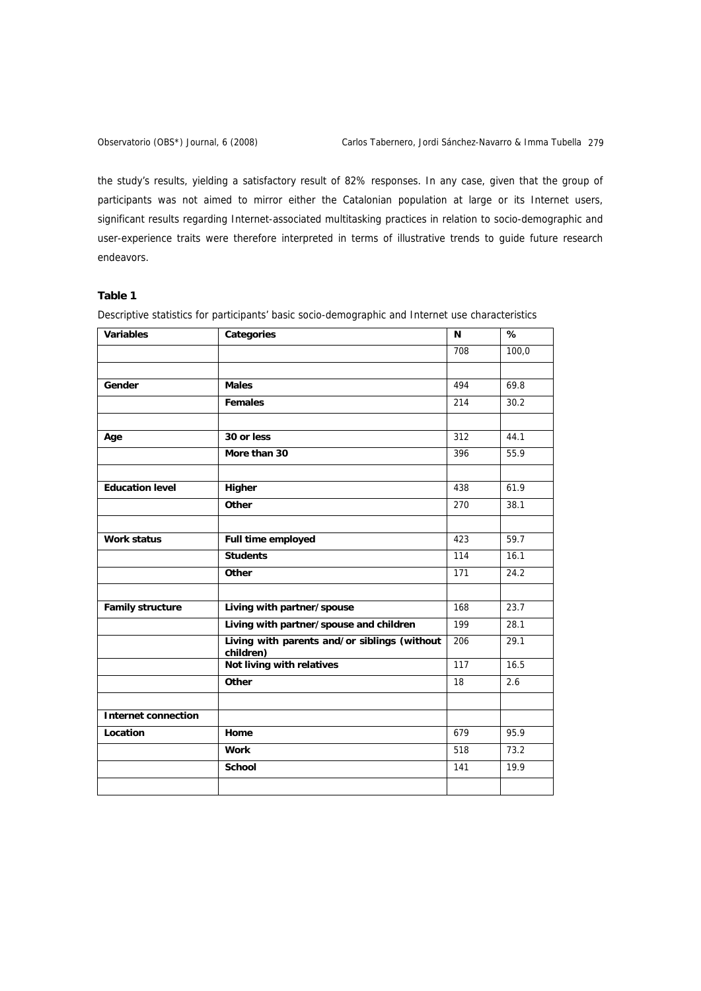the study's results, yielding a satisfactory result of 82% responses. In any case, given that the group of participants was not aimed to mirror either the Catalonian population at large or its Internet users, significant results regarding Internet-associated multitasking practices in relation to socio-demographic and user-experience traits were therefore interpreted in terms of illustrative trends to guide future research endeavors.

# **Table 1**

Descriptive statistics for participants' basic socio-demographic and Internet use characteristics

| <b>Variables</b>           | Categories                                                | N   | $\frac{1}{\sqrt{2}}$ |
|----------------------------|-----------------------------------------------------------|-----|----------------------|
|                            |                                                           | 708 | 100,0                |
|                            |                                                           |     |                      |
| Gender                     | <b>Males</b>                                              | 494 | 69.8                 |
|                            | Females                                                   | 214 | 30.2                 |
|                            |                                                           |     |                      |
| Age                        | 30 or less                                                | 312 | 44.1                 |
|                            | More than 30                                              | 396 | 55.9                 |
| <b>Education level</b>     |                                                           | 438 | 61.9                 |
|                            | Higher                                                    |     |                      |
|                            | Other                                                     | 270 | 38.1                 |
|                            |                                                           |     |                      |
| <b>Work status</b>         | Full time employed                                        | 423 | 59.7                 |
|                            | <b>Students</b>                                           | 114 | 16.1                 |
|                            | Other                                                     | 171 | 24.2                 |
|                            |                                                           |     |                      |
| <b>Family structure</b>    | Living with partner/spouse                                | 168 | 23.7                 |
|                            | Living with partner/spouse and children                   | 199 | 28.1                 |
|                            | Living with parents and/or siblings (without<br>children) | 206 | 29.1                 |
|                            | Not living with relatives                                 | 117 | 16.5                 |
|                            | Other                                                     | 18  | 2.6                  |
|                            |                                                           |     |                      |
| <b>Internet connection</b> |                                                           |     |                      |
| Location                   | Home                                                      | 679 | 95.9                 |
|                            | <b>Work</b>                                               | 518 | 73.2                 |
|                            | <b>School</b>                                             | 141 | 19.9                 |
|                            |                                                           |     |                      |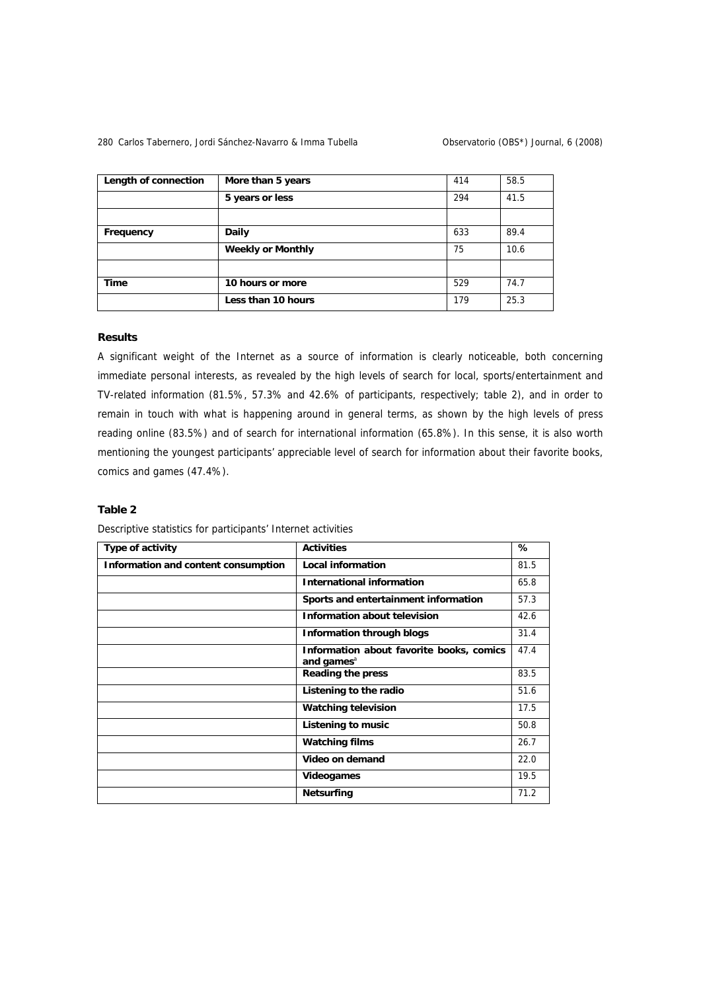## 280 Carlos Tabernero, Jordi Sánchez-Navarro & Imma Tubella **Carlos Conservatorio (OBS\*)** Journal, 6 (2008)

| Length of connection | More than 5 years        | 414 | 58.5 |
|----------------------|--------------------------|-----|------|
|                      | 5 years or less          | 294 | 41.5 |
|                      |                          |     |      |
| Frequency            | Daily                    | 633 | 89.4 |
|                      | <b>Weekly or Monthly</b> | 75  | 10.6 |
|                      |                          |     |      |
| <b>Time</b>          | 10 hours or more         | 529 | 74.7 |
|                      | Less than 10 hours       | 179 | 25.3 |

## **Results**

A significant weight of the Internet as a source of information is clearly noticeable, both concerning immediate personal interests, as revealed by the high levels of search for local, sports/entertainment and TV-related information (81.5%, 57.3% and 42.6% of participants, respectively; table 2), and in order to remain in touch with what is happening around in general terms, as shown by the high levels of press reading online (83.5%) and of search for international information (65.8%). In this sense, it is also worth mentioning the youngest participants' appreciable level of search for information about their favorite books, comics and games (47.4%).

# **Table 2**

| Type of activity                    | <b>Activities</b>                                                  | %    |
|-------------------------------------|--------------------------------------------------------------------|------|
| Information and content consumption | <b>Local information</b>                                           | 81.5 |
|                                     | <b>International information</b>                                   | 65.8 |
|                                     | Sports and entertainment information                               | 57.3 |
|                                     | <b>Information about television</b>                                | 42.6 |
|                                     | <b>Information through blogs</b>                                   | 31.4 |
|                                     | Information about favorite books, comics<br>and games <sup>a</sup> | 47.4 |
|                                     | <b>Reading the press</b>                                           | 83.5 |
|                                     | Listening to the radio                                             | 51.6 |
|                                     | <b>Watching television</b>                                         | 17.5 |
|                                     | Listening to music                                                 | 50.8 |
|                                     | <b>Watching films</b>                                              | 26.7 |
|                                     | Video on demand                                                    | 22.0 |
|                                     | <b>Videogames</b>                                                  | 19.5 |
|                                     | <b>Netsurfing</b>                                                  | 71.2 |

Descriptive statistics for participants' Internet activities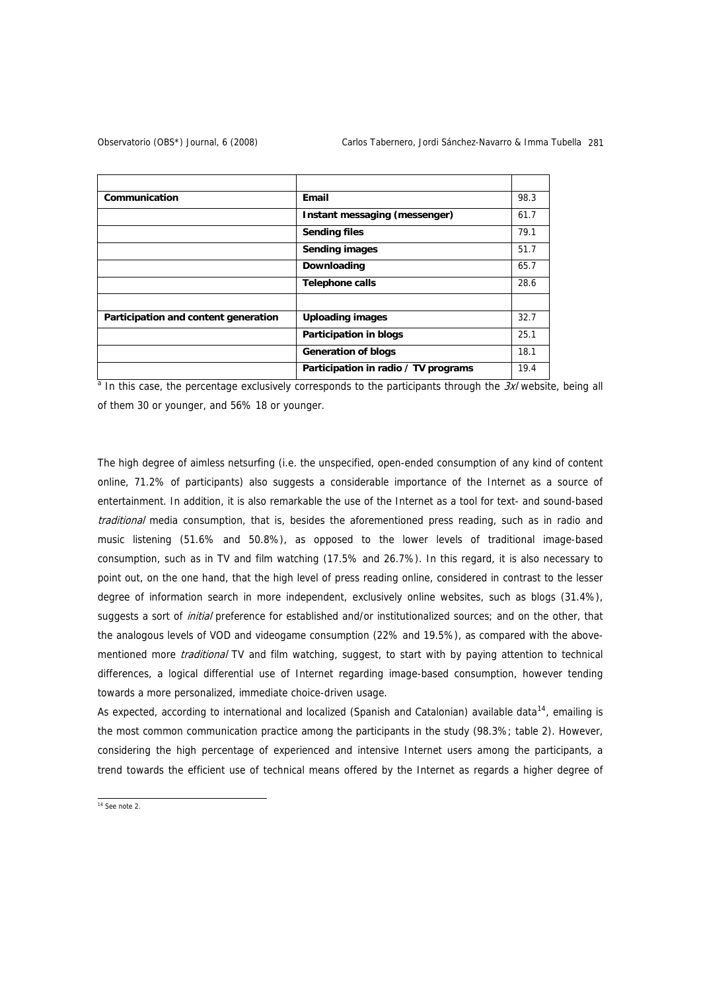| Communication                        | Email                                | 98.3 |
|--------------------------------------|--------------------------------------|------|
|                                      | Instant messaging (messenger)        | 61.7 |
|                                      | <b>Sending files</b>                 | 79.1 |
|                                      | <b>Sending images</b>                | 51.7 |
|                                      | Downloading                          | 65.7 |
|                                      | <b>Telephone calls</b>               | 28.6 |
|                                      |                                      |      |
| Participation and content generation | <b>Uploading images</b>              | 32.7 |
|                                      | <b>Participation in blogs</b>        | 25.1 |
|                                      | <b>Generation of blogs</b>           | 18.1 |
|                                      | Participation in radio / TV programs | 19.4 |

<sup>a</sup> In this case, the percentage exclusively corresponds to the participants through the 3xl website, being all of them 30 or younger, and 56% 18 or younger.

The high degree of aimless netsurfing (i.e. the unspecified, open-ended consumption of any kind of content online, 71.2% of participants) also suggests a considerable importance of the Internet as a source of entertainment. In addition, it is also remarkable the use of the Internet as a tool for text- and sound-based traditional media consumption, that is, besides the aforementioned press reading, such as in radio and music listening (51.6% and 50.8%), as opposed to the lower levels of traditional image-based consumption, such as in TV and film watching (17.5% and 26.7%). In this regard, it is also necessary to point out, on the one hand, that the high level of press reading online, considered in contrast to the lesser degree of information search in more independent, exclusively online websites, such as blogs (31.4%), suggests a sort of *initial* preference for established and/or institutionalized sources; and on the other, that the analogous levels of VOD and videogame consumption (22% and 19.5%), as compared with the abovementioned more *traditional* TV and film watching, suggest, to start with by paying attention to technical differences, a logical differential use of Internet regarding image-based consumption, however tending towards a more personalized, immediate choice-driven usage.

As expected, according to international and localized (Spanish and Catalonian) available data<sup>[14](#page-8-0)</sup>, emailing is the most common communication practice among the participants in the study (98.3%; table 2). However, considering the high percentage of experienced and intensive Internet users among the participants, a trend towards the efficient use of technical means offered by the Internet as regards a higher degree of

<span id="page-8-0"></span> $14$  See note 2.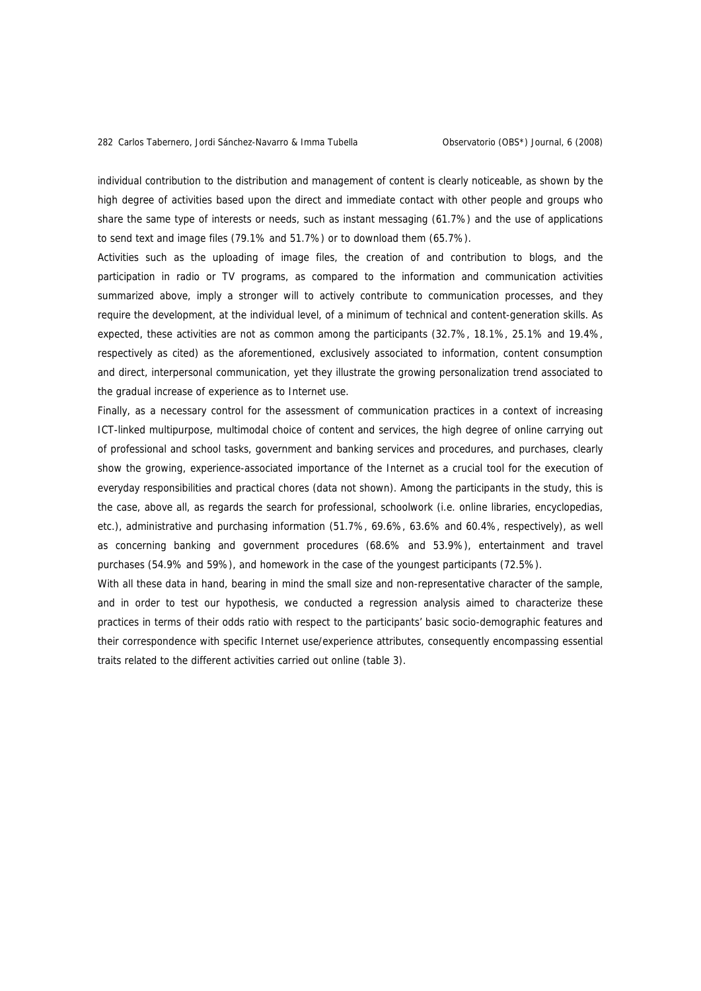individual contribution to the distribution and management of content is clearly noticeable, as shown by the high degree of activities based upon the direct and immediate contact with other people and groups who share the same type of interests or needs, such as instant messaging (61.7%) and the use of applications to send text and image files (79.1% and 51.7%) or to download them (65.7%).

Activities such as the uploading of image files, the creation of and contribution to blogs, and the participation in radio or TV programs, as compared to the information and communication activities summarized above, imply a stronger will to actively contribute to communication processes, and they require the development, at the individual level, of a minimum of technical and content-generation skills. As expected, these activities are not as common among the participants (32.7%, 18.1%, 25.1% and 19.4%, respectively as cited) as the aforementioned, exclusively associated to information, content consumption and direct, interpersonal communication, yet they illustrate the growing personalization trend associated to the gradual increase of experience as to Internet use.

Finally, as a necessary control for the assessment of communication practices in a context of increasing ICT-linked multipurpose, multimodal choice of content and services, the high degree of online carrying out of professional and school tasks, government and banking services and procedures, and purchases, clearly show the growing, experience-associated importance of the Internet as a crucial tool for the execution of everyday responsibilities and practical chores (data not shown). Among the participants in the study, this is the case, above all, as regards the search for professional, schoolwork (i.e. online libraries, encyclopedias, etc.), administrative and purchasing information (51.7%, 69.6%, 63.6% and 60.4%, respectively), as well as concerning banking and government procedures (68.6% and 53.9%), entertainment and travel purchases (54.9% and 59%), and homework in the case of the youngest participants (72.5%).

With all these data in hand, bearing in mind the small size and non-representative character of the sample, and in order to test our hypothesis, we conducted a regression analysis aimed to characterize these practices in terms of their odds ratio with respect to the participants' basic socio-demographic features and their correspondence with specific Internet use/experience attributes, consequently encompassing essential traits related to the different activities carried out online (table 3).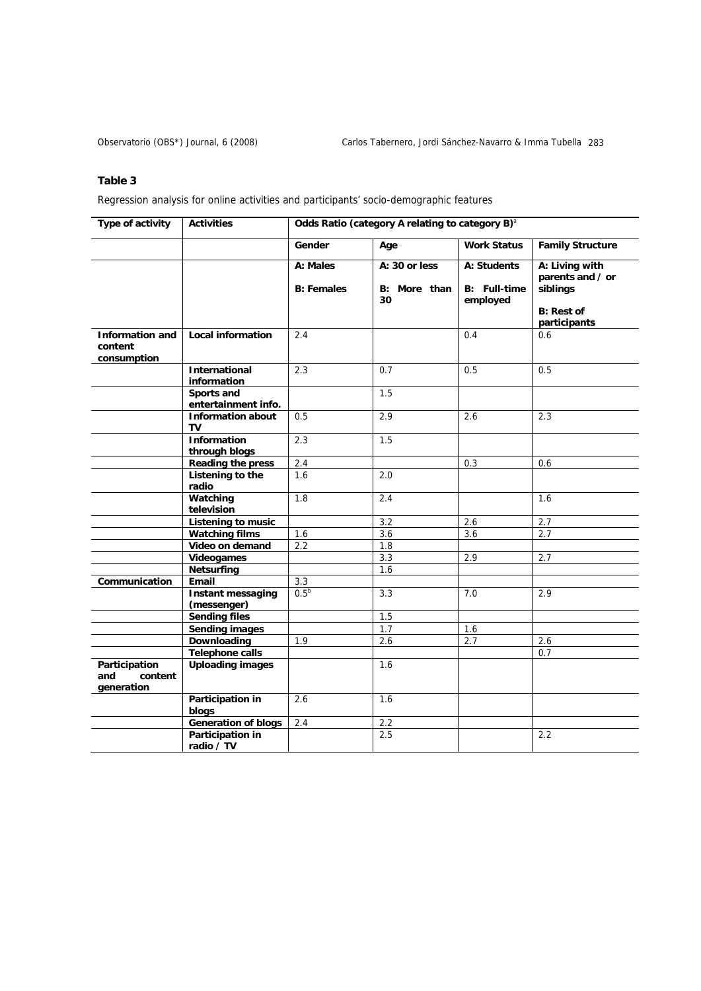# **Table 3**

Regression analysis for online activities and participants' socio-demographic features

| Type of activity                                 | <b>Activities</b>                       | Odds Ratio (category A relating to category B) <sup>a</sup> |                                     |                                                |                                                                                     |
|--------------------------------------------------|-----------------------------------------|-------------------------------------------------------------|-------------------------------------|------------------------------------------------|-------------------------------------------------------------------------------------|
|                                                  |                                         | Gender                                                      | Age                                 | <b>Work Status</b>                             | <b>Family Structure</b>                                                             |
|                                                  |                                         | A: Males<br><b>B: Females</b>                               | A: 30 or less<br>B: More than<br>30 | A: Students<br><b>B:</b> Full-time<br>employed | A: Living with<br>parents and / or<br>siblings<br><b>B: Rest of</b><br>participants |
| <b>Information and</b><br>content<br>consumption | <b>Local information</b>                | 2.4                                                         |                                     | 0.4                                            | 0.6                                                                                 |
|                                                  | <b>International</b>                    | 2.3                                                         | 0.7                                 | 0.5                                            | 0.5                                                                                 |
|                                                  | information                             |                                                             | 1.5                                 |                                                |                                                                                     |
|                                                  | Sports and<br>entertainment info.       |                                                             |                                     |                                                |                                                                                     |
|                                                  | <b>Information about</b>                | 0.5                                                         | 2.9                                 | 2.6                                            | 2.3                                                                                 |
|                                                  | TV                                      |                                                             |                                     |                                                |                                                                                     |
|                                                  | <b>Information</b>                      | 2.3                                                         | 1.5                                 |                                                |                                                                                     |
|                                                  | through blogs                           |                                                             |                                     |                                                |                                                                                     |
|                                                  | <b>Reading the press</b>                | 2.4                                                         |                                     | 0.3                                            | 0.6                                                                                 |
|                                                  | <b>Listening to the</b><br>radio        | 1.6                                                         | 2.0                                 |                                                |                                                                                     |
|                                                  | Watching<br>television                  | 1.8                                                         | 2.4                                 |                                                | 1.6                                                                                 |
|                                                  | <b>Listening to music</b>               |                                                             | 3.2                                 | 2.6                                            | 2.7                                                                                 |
|                                                  | <b>Watching films</b>                   | 1.6                                                         | 3.6                                 | 3.6                                            | 2.7                                                                                 |
|                                                  | Video on demand                         | 2.2                                                         | 1.8                                 |                                                |                                                                                     |
|                                                  | <b>Videogames</b>                       |                                                             | 3.3                                 | 2.9                                            | 2.7                                                                                 |
|                                                  | <b>Netsurfing</b>                       |                                                             | 1.6                                 |                                                |                                                                                     |
| Communication                                    | Email                                   | 3.3                                                         |                                     |                                                |                                                                                     |
|                                                  | <b>Instant messaging</b><br>(messenger) | 0.5 <sup>b</sup>                                            | 3.3                                 | 7.0                                            | 2.9                                                                                 |
|                                                  | <b>Sending files</b>                    |                                                             | 1.5                                 |                                                |                                                                                     |
|                                                  | <b>Sending images</b>                   |                                                             | 1.7                                 | 1.6                                            |                                                                                     |
|                                                  | Downloading                             | 1.9                                                         | 2.6                                 | 2.7                                            | 2.6                                                                                 |
|                                                  | <b>Telephone calls</b>                  |                                                             |                                     |                                                | 0.7                                                                                 |
| Participation<br>and<br>content<br>generation    | <b>Uploading images</b>                 |                                                             | 1.6                                 |                                                |                                                                                     |
|                                                  | Participation in<br>blogs               | 2.6                                                         | 1.6                                 |                                                |                                                                                     |
|                                                  | <b>Generation of blogs</b>              | 2.4                                                         | 2.2                                 |                                                |                                                                                     |
|                                                  | Participation in<br>radio / TV          |                                                             | 2.5                                 |                                                | 2.2                                                                                 |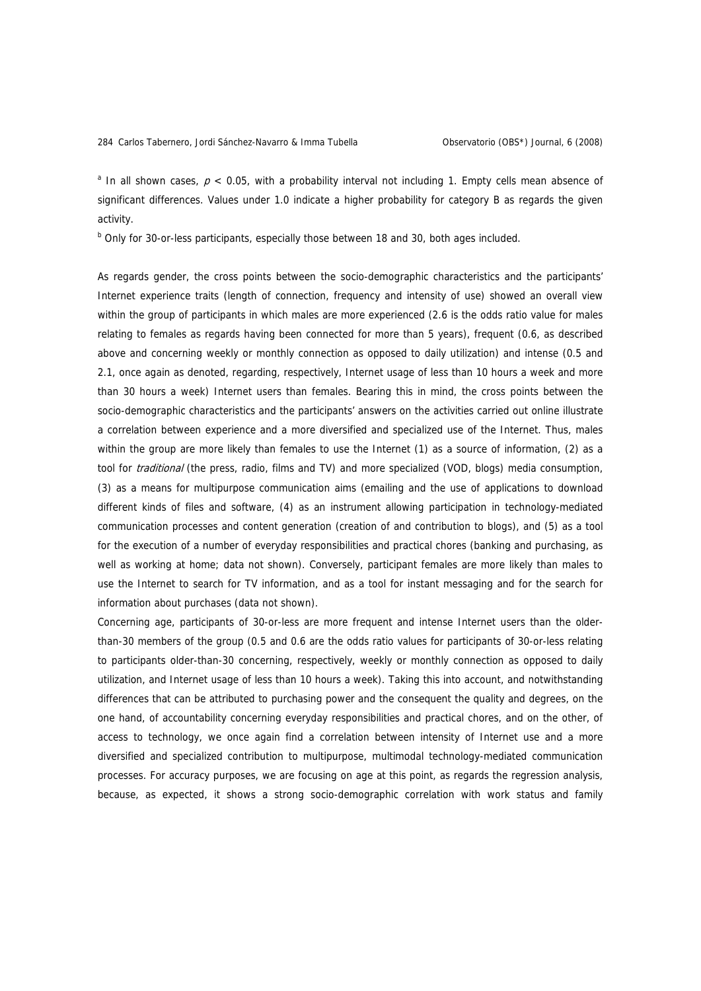<sup>a</sup> In all shown cases,  $p < 0.05$ , with a probability interval not including 1. Empty cells mean absence of significant differences. Values under 1.0 indicate a higher probability for category B as regards the given activity.

<sup>b</sup> Only for 30-or-less participants, especially those between 18 and 30, both ages included.

As regards gender, the cross points between the socio-demographic characteristics and the participants' Internet experience traits (length of connection, frequency and intensity of use) showed an overall view within the group of participants in which males are more experienced (2.6 is the odds ratio value for males relating to females as regards having been connected for more than 5 years), frequent (0.6, as described above and concerning weekly or monthly connection as opposed to daily utilization) and intense (0.5 and 2.1, once again as denoted, regarding, respectively, Internet usage of less than 10 hours a week and more than 30 hours a week) Internet users than females. Bearing this in mind, the cross points between the socio-demographic characteristics and the participants' answers on the activities carried out online illustrate a correlation between experience and a more diversified and specialized use of the Internet. Thus, males within the group are more likely than females to use the Internet (1) as a source of information, (2) as a tool for *traditional* (the press, radio, films and TV) and more specialized (VOD, blogs) media consumption, (3) as a means for multipurpose communication aims (emailing and the use of applications to download different kinds of files and software, (4) as an instrument allowing participation in technology-mediated communication processes and content generation (creation of and contribution to blogs), and (5) as a tool for the execution of a number of everyday responsibilities and practical chores (banking and purchasing, as well as working at home; data not shown). Conversely, participant females are more likely than males to use the Internet to search for TV information, and as a tool for instant messaging and for the search for information about purchases (data not shown).

Concerning age, participants of 30-or-less are more frequent and intense Internet users than the olderthan-30 members of the group (0.5 and 0.6 are the odds ratio values for participants of 30-or-less relating to participants older-than-30 concerning, respectively, weekly or monthly connection as opposed to daily utilization, and Internet usage of less than 10 hours a week). Taking this into account, and notwithstanding differences that can be attributed to purchasing power and the consequent the quality and degrees, on the one hand, of accountability concerning everyday responsibilities and practical chores, and on the other, of access to technology, we once again find a correlation between intensity of Internet use and a more diversified and specialized contribution to multipurpose, multimodal technology-mediated communication processes. For accuracy purposes, we are focusing on age at this point, as regards the regression analysis, because, as expected, it shows a strong socio-demographic correlation with work status and family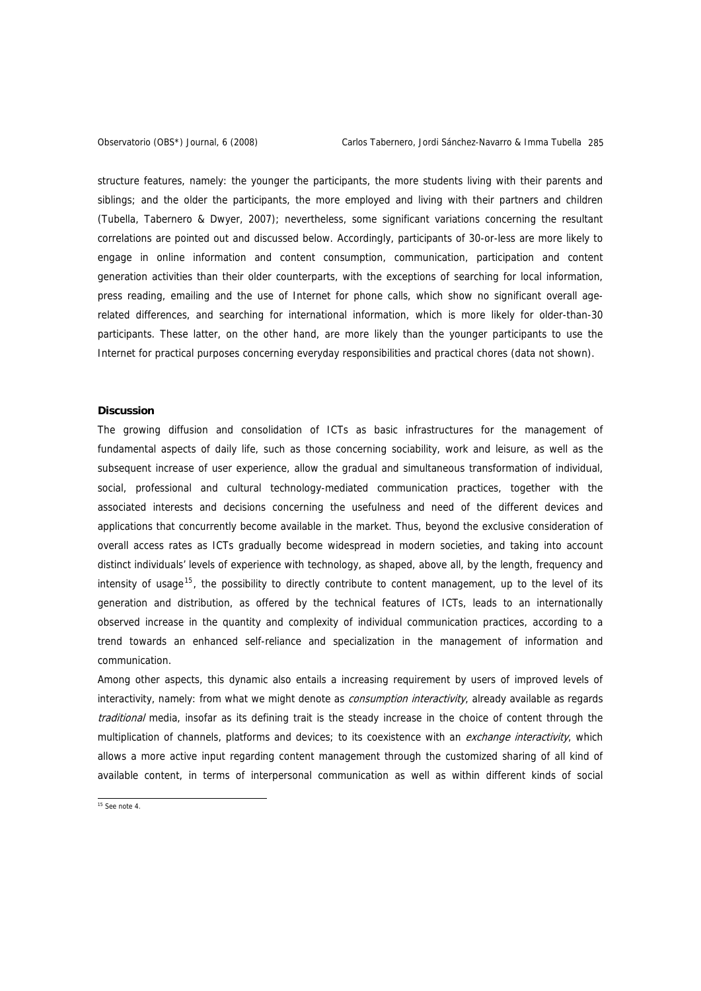structure features, namely: the younger the participants, the more students living with their parents and siblings; and the older the participants, the more employed and living with their partners and children (Tubella, Tabernero & Dwyer, 2007); nevertheless, some significant variations concerning the resultant correlations are pointed out and discussed below. Accordingly, participants of 30-or-less are more likely to engage in online information and content consumption, communication, participation and content generation activities than their older counterparts, with the exceptions of searching for local information, press reading, emailing and the use of Internet for phone calls, which show no significant overall agerelated differences, and searching for international information, which is more likely for older-than-30 participants. These latter, on the other hand, are more likely than the younger participants to use the Internet for practical purposes concerning everyday responsibilities and practical chores (data not shown).

### **Discussion**

The growing diffusion and consolidation of ICTs as basic infrastructures for the management of fundamental aspects of daily life, such as those concerning sociability, work and leisure, as well as the subsequent increase of user experience, allow the gradual and simultaneous transformation of individual, social, professional and cultural technology-mediated communication practices, together with the associated interests and decisions concerning the usefulness and need of the different devices and applications that concurrently become available in the market. Thus, beyond the exclusive consideration of overall access rates as ICTs gradually become widespread in modern societies, and taking into account distinct individuals' levels of experience with technology, as shaped, above all, by the length, frequency and intensity of usage<sup>[15](#page-12-0)</sup>, the possibility to directly contribute to content management, up to the level of its generation and distribution, as offered by the technical features of ICTs, leads to an internationally observed increase in the quantity and complexity of individual communication practices, according to a trend towards an enhanced self-reliance and specialization in the management of information and communication.

Among other aspects, this dynamic also entails a increasing requirement by users of improved levels of interactivity, namely: from what we might denote as *consumption interactivity*, already available as regards traditional media, insofar as its defining trait is the steady increase in the choice of content through the multiplication of channels, platforms and devices; to its coexistence with an exchange interactivity, which allows a more active input regarding content management through the customized sharing of all kind of available content, in terms of interpersonal communication as well as within different kinds of social

<span id="page-12-0"></span> $15$  See note 4.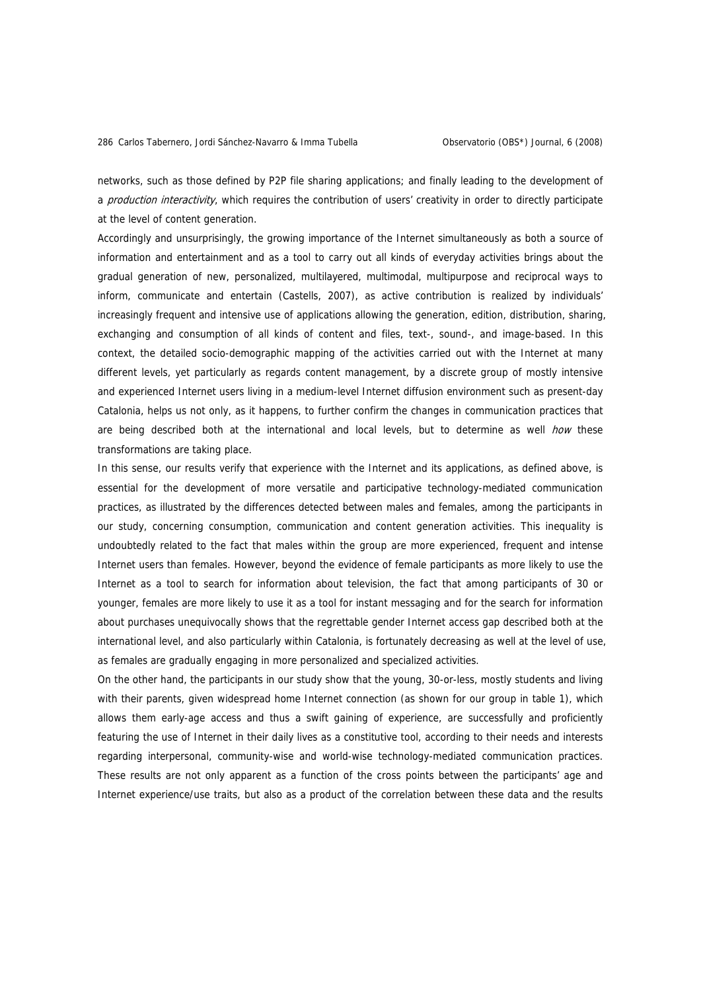networks, such as those defined by P2P file sharing applications; and finally leading to the development of a production interactivity, which requires the contribution of users' creativity in order to directly participate at the level of content generation.

Accordingly and unsurprisingly, the growing importance of the Internet simultaneously as both a source of information and entertainment and as a tool to carry out all kinds of everyday activities brings about the gradual generation of new, personalized, multilayered, multimodal, multipurpose and reciprocal ways to inform, communicate and entertain (Castells, 2007), as active contribution is realized by individuals' increasingly frequent and intensive use of applications allowing the generation, edition, distribution, sharing, exchanging and consumption of all kinds of content and files, text-, sound-, and image-based. In this context, the detailed socio-demographic mapping of the activities carried out with the Internet at many different levels, yet particularly as regards content management, by a discrete group of mostly intensive and experienced Internet users living in a medium-level Internet diffusion environment such as present-day Catalonia, helps us not only, as it happens, to further confirm the changes in communication practices that are being described both at the international and local levels, but to determine as well *how* these transformations are taking place.

In this sense, our results verify that experience with the Internet and its applications, as defined above, is essential for the development of more versatile and participative technology-mediated communication practices, as illustrated by the differences detected between males and females, among the participants in our study, concerning consumption, communication and content generation activities. This inequality is undoubtedly related to the fact that males within the group are more experienced, frequent and intense Internet users than females. However, beyond the evidence of female participants as more likely to use the Internet as a tool to search for information about television, the fact that among participants of 30 or younger, females are more likely to use it as a tool for instant messaging and for the search for information about purchases unequivocally shows that the regrettable gender Internet access gap described both at the international level, and also particularly within Catalonia, is fortunately decreasing as well at the level of use, as females are gradually engaging in more personalized and specialized activities.

On the other hand, the participants in our study show that the young, 30-or-less, mostly students and living with their parents, given widespread home Internet connection (as shown for our group in table 1), which allows them early-age access and thus a swift gaining of experience, are successfully and proficiently featuring the use of Internet in their daily lives as a constitutive tool, according to their needs and interests regarding interpersonal, community-wise and world-wise technology-mediated communication practices. These results are not only apparent as a function of the cross points between the participants' age and Internet experience/use traits, but also as a product of the correlation between these data and the results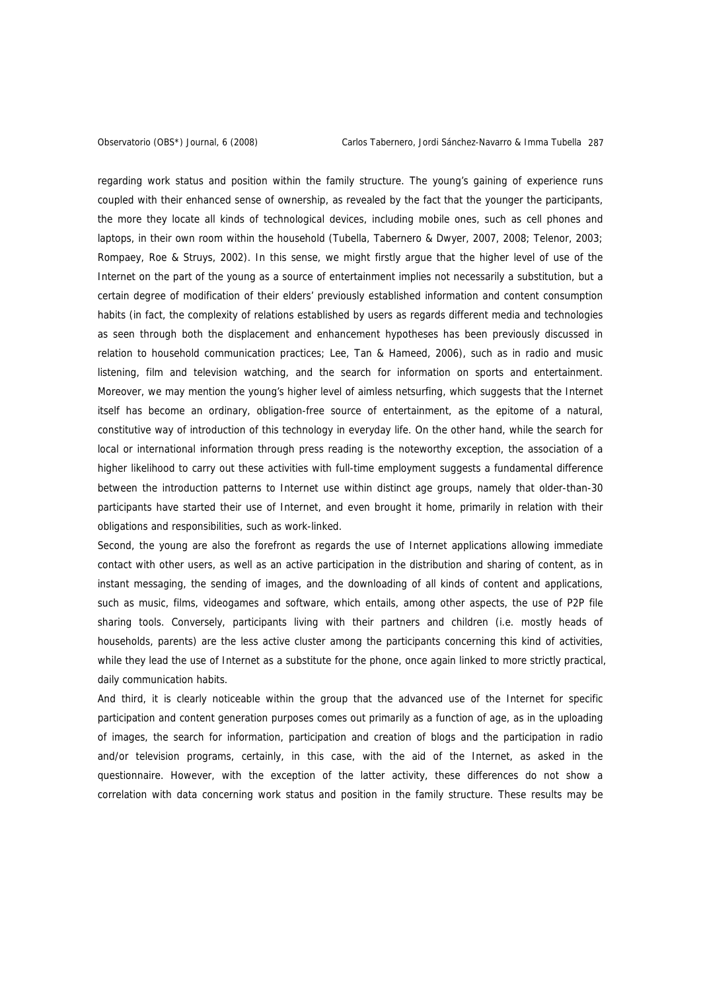regarding work status and position within the family structure. The young's gaining of experience runs coupled with their enhanced sense of ownership, as revealed by the fact that the younger the participants, the more they locate all kinds of technological devices, including mobile ones, such as cell phones and laptops, in their own room within the household (Tubella, Tabernero & Dwyer, 2007, 2008; Telenor, 2003; Rompaey, Roe & Struys, 2002). In this sense, we might firstly argue that the higher level of use of the Internet on the part of the young as a source of entertainment implies not necessarily a substitution, but a certain degree of modification of their elders' previously established information and content consumption habits (in fact, the complexity of relations established by users as regards different media and technologies as seen through both the displacement and enhancement hypotheses has been previously discussed in relation to household communication practices; Lee, Tan & Hameed, 2006), such as in radio and music listening, film and television watching, and the search for information on sports and entertainment. Moreover, we may mention the young's higher level of aimless netsurfing, which suggests that the Internet itself has become an ordinary, obligation-free source of entertainment, as the epitome of a natural, constitutive way of introduction of this technology in everyday life. On the other hand, while the search for local or international information through press reading is the noteworthy exception, the association of a higher likelihood to carry out these activities with full-time employment suggests a fundamental difference between the introduction patterns to Internet use within distinct age groups, namely that older-than-30 participants have started their use of Internet, and even brought it home, primarily in relation with their obligations and responsibilities, such as work-linked.

Second, the young are also the forefront as regards the use of Internet applications allowing immediate contact with other users, as well as an active participation in the distribution and sharing of content, as in instant messaging, the sending of images, and the downloading of all kinds of content and applications, such as music, films, videogames and software, which entails, among other aspects, the use of P2P file sharing tools. Conversely, participants living with their partners and children (i.e. mostly heads of households, parents) are the less active cluster among the participants concerning this kind of activities, while they lead the use of Internet as a substitute for the phone, once again linked to more strictly practical, daily communication habits.

And third, it is clearly noticeable within the group that the advanced use of the Internet for specific participation and content generation purposes comes out primarily as a function of age, as in the uploading of images, the search for information, participation and creation of blogs and the participation in radio and/or television programs, certainly, in this case, with the aid of the Internet, as asked in the questionnaire. However, with the exception of the latter activity, these differences do not show a correlation with data concerning work status and position in the family structure. These results may be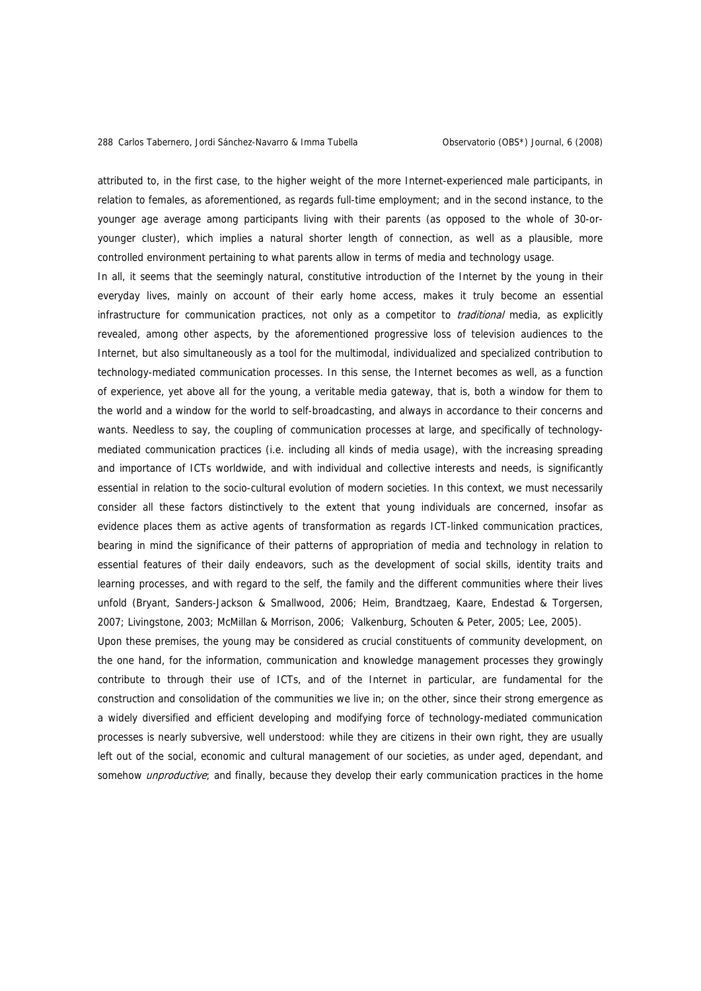attributed to, in the first case, to the higher weight of the more Internet-experienced male participants, in relation to females, as aforementioned, as regards full-time employment; and in the second instance, to the younger age average among participants living with their parents (as opposed to the whole of 30-oryounger cluster), which implies a natural shorter length of connection, as well as a plausible, more controlled environment pertaining to what parents allow in terms of media and technology usage.

In all, it seems that the seemingly natural, constitutive introduction of the Internet by the young in their everyday lives, mainly on account of their early home access, makes it truly become an essential infrastructure for communication practices, not only as a competitor to *traditional* media, as explicitly revealed, among other aspects, by the aforementioned progressive loss of television audiences to the Internet, but also simultaneously as a tool for the multimodal, individualized and specialized contribution to technology-mediated communication processes. In this sense, the Internet becomes as well, as a function of experience, yet above all for the young, a veritable media gateway, that is, both a window for them to the world and a window for the world to self-broadcasting, and always in accordance to their concerns and wants. Needless to say, the coupling of communication processes at large, and specifically of technologymediated communication practices (i.e. including all kinds of media usage), with the increasing spreading and importance of ICTs worldwide, and with individual and collective interests and needs, is significantly essential in relation to the socio-cultural evolution of modern societies. In this context, we must necessarily consider all these factors distinctively to the extent that young individuals are concerned, insofar as evidence places them as active agents of transformation as regards ICT-linked communication practices, bearing in mind the significance of their patterns of appropriation of media and technology in relation to essential features of their daily endeavors, such as the development of social skills, identity traits and learning processes, and with regard to the self, the family and the different communities where their lives unfold (Bryant, Sanders-Jackson & Smallwood, 2006; Heim, Brandtzaeg, Kaare, Endestad & Torgersen, 2007; Livingstone, 2003; McMillan & Morrison, 2006; Valkenburg, Schouten & Peter, 2005; Lee, 2005). Upon these premises, the young may be considered as crucial constituents of community development, on

the one hand, for the information, communication and knowledge management processes they growingly contribute to through their use of ICTs, and of the Internet in particular, are fundamental for the construction and consolidation of the communities we live in; on the other, since their strong emergence as a widely diversified and efficient developing and modifying force of technology-mediated communication processes is nearly subversive, well understood: while they are citizens in their own right, they are usually left out of the social, economic and cultural management of our societies, as under aged, dependant, and somehow *unproductive*; and finally, because they develop their early communication practices in the home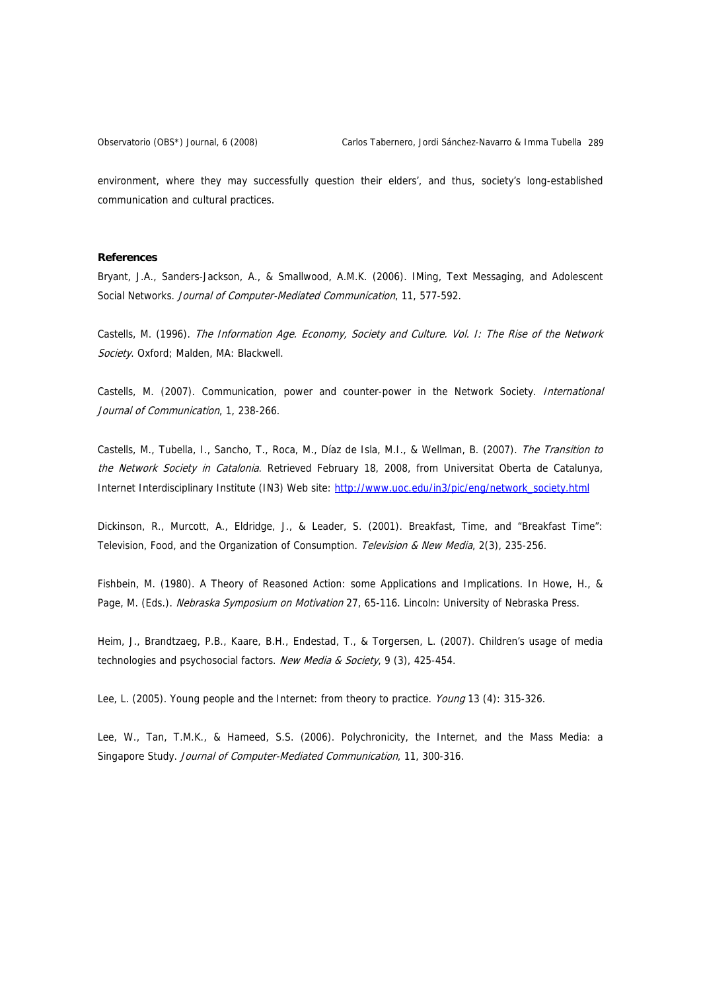environment, where they may successfully question their elders', and thus, society's long-established communication and cultural practices.

### **References**

Bryant, J.A., Sanders-Jackson, A., & Smallwood, A.M.K. (2006). IMing, Text Messaging, and Adolescent Social Networks. Journal of Computer-Mediated Communication, 11, 577-592.

Castells, M. (1996). The Information Age. Economy, Society and Culture. Vol. I: The Rise of the Network Society. Oxford; Malden, MA: Blackwell.

Castells, M. (2007). Communication, power and counter-power in the Network Society. International Journal of Communication, 1, 238-266.

Castells, M., Tubella, I., Sancho, T., Roca, M., Díaz de Isla, M.I., & Wellman, B. (2007). The Transition to the Network Society in Catalonia. Retrieved February 18, 2008, from Universitat Oberta de Catalunya, Internet Interdisciplinary Institute (IN3) Web site: [http://www.uoc.edu/in3/pic/eng/network\\_society.html](http://www.uoc.edu/in3/pic/eng/network_society.html)

Dickinson, R., Murcott, A., Eldridge, J., & Leader, S. (2001). Breakfast, Time, and "Breakfast Time": Television, Food, and the Organization of Consumption. Television & New Media, 2(3), 235-256.

Fishbein, M. (1980). A Theory of Reasoned Action: some Applications and Implications. In Howe, H., & Page, M. (Eds.). Nebraska Symposium on Motivation 27, 65-116. Lincoln: University of Nebraska Press.

Heim, J., Brandtzaeg, P.B., Kaare, B.H., Endestad, T., & Torgersen, L. (2007). Children's usage of media technologies and psychosocial factors. New Media & Society, 9 (3), 425-454.

Lee, L. (2005). Young people and the Internet: from theory to practice. *Young* 13 (4): 315-326.

Lee, W., Tan, T.M.K., & Hameed, S.S. (2006). Polychronicity, the Internet, and the Mass Media: a Singapore Study. Journal of Computer-Mediated Communication, 11, 300-316.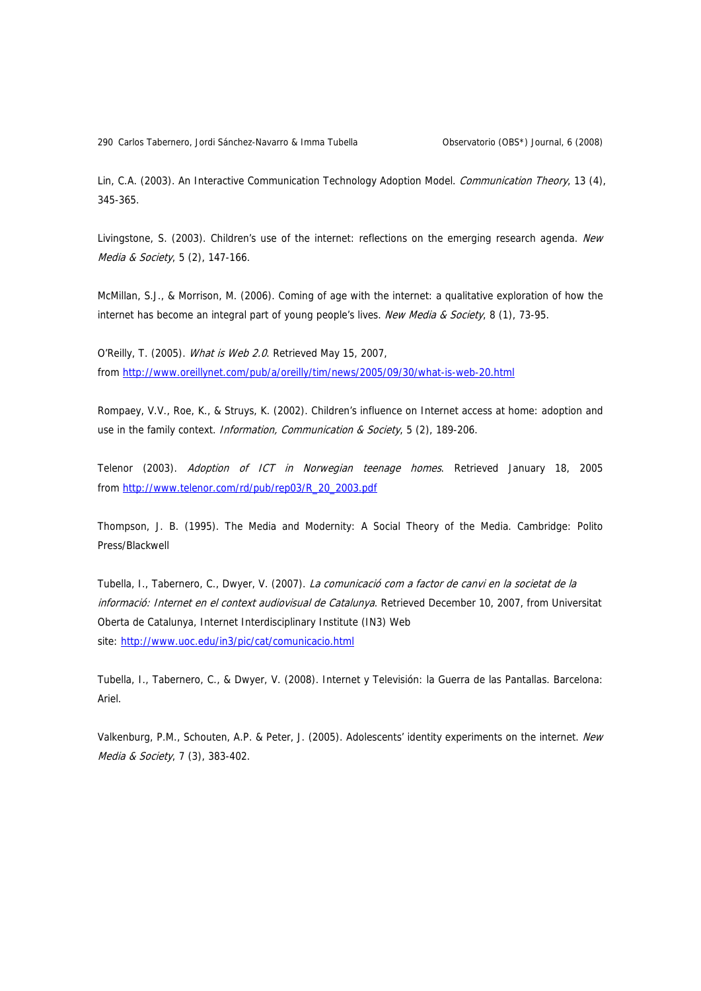290 Carlos Tabernero, Jordi Sánchez-Navarro & Imma Tubella **Carlos Conservatorio (OBS\*)** Journal, 6 (2008)

Lin, C.A. (2003). An Interactive Communication Technology Adoption Model. Communication Theory, 13 (4), 345-365.

Livingstone, S. (2003). Children's use of the internet: reflections on the emerging research agenda. New Media & Society, 5 (2), 147-166.

McMillan, S.J., & Morrison, M. (2006). Coming of age with the internet: a qualitative exploration of how the internet has become an integral part of young people's lives. New Media & Society, 8 (1), 73-95.

from [http://www.oreillynet.com/pub/a/oreilly/tim/news/2005/09/30/what-is-web-20.h](http://www.oreillynet.com/pub/a/oreilly/tim/news/2005/09/30/what-is-web-20.html)tml O'Reilly, T. (2005). What is Web 2.0. Retrieved May 15, 2007,

Rompaey, V.V., Roe, K., & Struys, K. (2002). Children's influence on Internet access at home: adoption and use in the family context. Information, Communication & Society, 5 (2), 189-206.

from <u>http://www.telenor.com/rd/pub/rep03/R\_20\_2003.pdf</u> Telenor (2003). Adoption of ICT in Norwegian teenage homes. Retrieved January 18, 2005

Thompson, J. B. (1995). The Media and Modernity: A Social Theory of the Media. Cambridge: Polito Press/Blackwell

site: [http://www.uoc.edu/in3/pic/cat/comunicacio.h](http://www.uoc.edu/in3/pic/cat/comunicacio.html)tml Tubella, I., Tabernero, C., Dwyer, V. (2007). La comunicació com a factor de canvi en la societat de la informació: Internet en el context audiovisual de Catalunya. Retrieved December 10, 2007, from Universitat Oberta de Catalunya, Internet Interdisciplinary Institute (IN3) Web

Tubella, I., Tabernero, C., & Dwyer, V. (2008). Internet y Televisión: la Guerra de las Pantallas. Barcelona: Ariel.

Valkenburg, P.M., Schouten, A.P. & Peter, J. (2005). Adolescents' identity experiments on the internet. New Media & Society, 7 (3), 383-402.